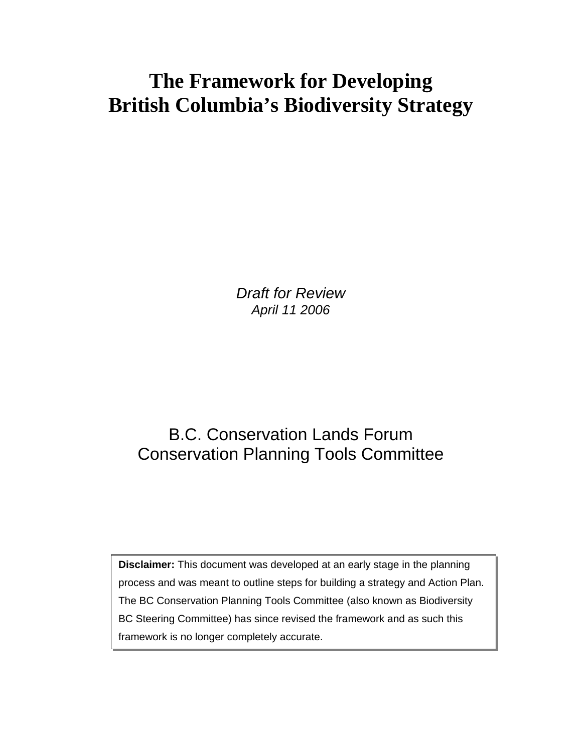# **The Framework for Developing British Columbia's Biodiversity Strategy**

*Draft for Review April 11 2006* 

## B.C. Conservation Lands Forum Conservation Planning Tools Committee

**Disclaimer:** This document was developed at an early stage in the planning process and was meant to outline steps for building a strategy and Action Plan. The BC Conservation Planning Tools Committee (also known as Biodiversity BC Steering Committee) has since revised the framework and as such this framework is no longer completely accurate.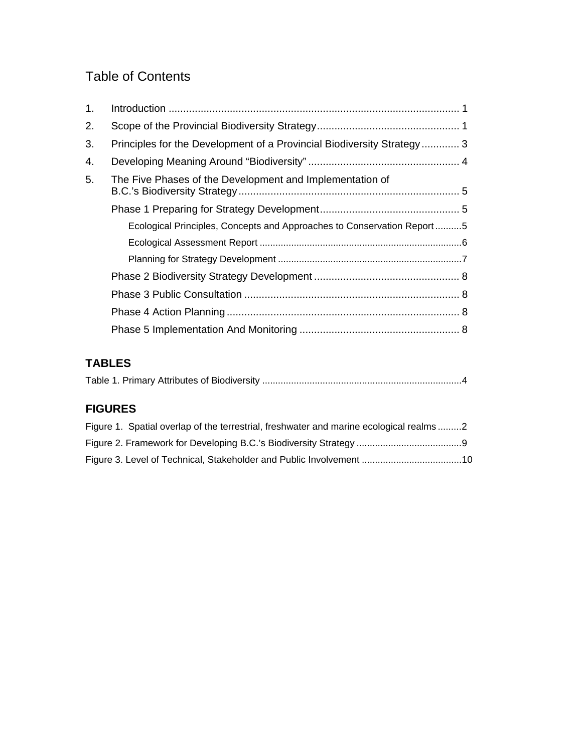### Table of Contents

| 1. |                                                                        |  |
|----|------------------------------------------------------------------------|--|
| 2. |                                                                        |  |
| 3. | Principles for the Development of a Provincial Biodiversity Strategy 3 |  |
| 4. |                                                                        |  |
| 5. | The Five Phases of the Development and Implementation of               |  |
|    |                                                                        |  |
|    | Ecological Principles, Concepts and Approaches to Conservation Report5 |  |
|    |                                                                        |  |
|    |                                                                        |  |
|    |                                                                        |  |
|    |                                                                        |  |
|    |                                                                        |  |
|    |                                                                        |  |

### **TABLES**

|--|

### **FIGURES**

| Figure 1. Spatial overlap of the terrestrial, freshwater and marine ecological realms2 |  |
|----------------------------------------------------------------------------------------|--|
|                                                                                        |  |
|                                                                                        |  |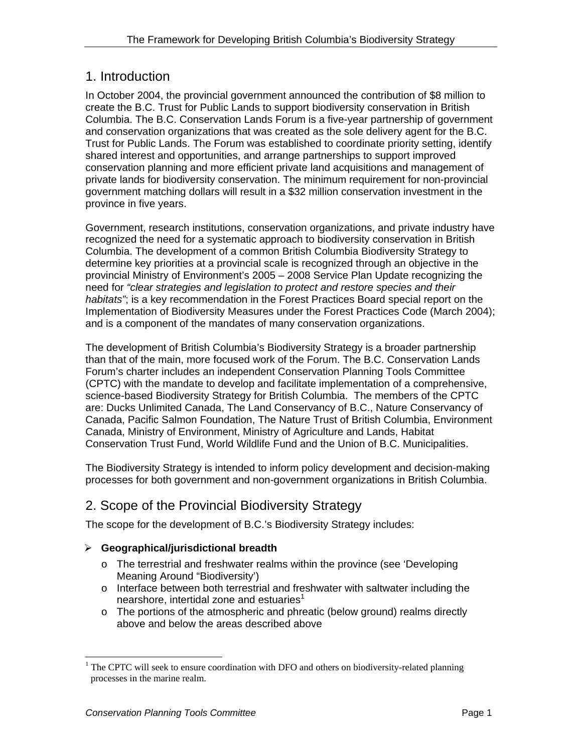### 1. Introduction

In October 2004, the provincial government announced the contribution of \$8 million to create the B.C. Trust for Public Lands to support biodiversity conservation in British Columbia. The B.C. Conservation Lands Forum is a five-year partnership of government and conservation organizations that was created as the sole delivery agent for the B.C. Trust for Public Lands. The Forum was established to coordinate priority setting, identify shared interest and opportunities, and arrange partnerships to support improved conservation planning and more efficient private land acquisitions and management of private lands for biodiversity conservation. The minimum requirement for non-provincial government matching dollars will result in a \$32 million conservation investment in the province in five years.

Government, research institutions, conservation organizations, and private industry have recognized the need for a systematic approach to biodiversity conservation in British Columbia. The development of a common British Columbia Biodiversity Strategy to determine key priorities at a provincial scale is recognized through an objective in the provincial Ministry of Environment's 2005 – 2008 Service Plan Update recognizing the need for *"clear strategies and legislation to protect and restore species and their habitats"*; is a key recommendation in the Forest Practices Board special report on the Implementation of Biodiversity Measures under the Forest Practices Code (March 2004); and is a component of the mandates of many conservation organizations.

The development of British Columbia's Biodiversity Strategy is a broader partnership than that of the main, more focused work of the Forum. The B.C. Conservation Lands Forum's charter includes an independent Conservation Planning Tools Committee (CPTC) with the mandate to develop and facilitate implementation of a comprehensive, science-based Biodiversity Strategy for British Columbia. The members of the CPTC are: Ducks Unlimited Canada, The Land Conservancy of B.C., Nature Conservancy of Canada, Pacific Salmon Foundation, The Nature Trust of British Columbia, Environment Canada, Ministry of Environment, Ministry of Agriculture and Lands, Habitat Conservation Trust Fund, World Wildlife Fund and the Union of B.C. Municipalities.

The Biodiversity Strategy is intended to inform policy development and decision-making processes for both government and non-government organizations in British Columbia.

### 2. Scope of the Provincial Biodiversity Strategy

The scope for the development of B.C.'s Biodiversity Strategy includes:

### ¾ **Geographical/jurisdictional breadth**

- o The terrestrial and freshwater realms within the province (see 'Developing Meaning Around "Biodiversity')
- o Interface between both terrestrial and freshwater with saltwater including the nearshore, intertidal zone and estuaries $1$
- $\circ$  The portions of the atmospheric and phreatic (below ground) realms directly above and below the areas described above

-

 $1$  The CPTC will seek to ensure coordination with DFO and others on biodiversity-related planning processes in the marine realm.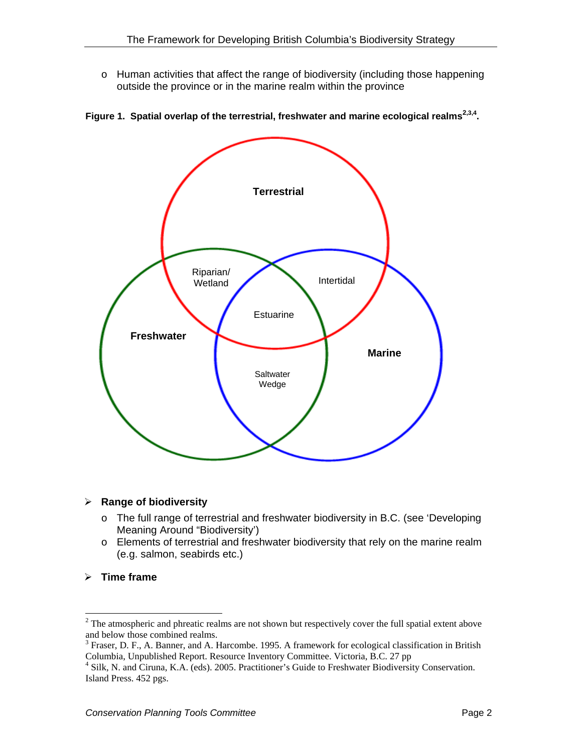o Human activities that affect the range of biodiversity (including those happening outside the province or in the marine realm within the province



**Figure 1. Spatial overlap of the terrestrial, freshwater and marine ecological realms2,3,4.** 

#### ¾ **Range of biodiversity**

- o The full range of terrestrial and freshwater biodiversity in B.C. (see 'Developing Meaning Around "Biodiversity')
- o Elements of terrestrial and freshwater biodiversity that rely on the marine realm (e.g. salmon, seabirds etc.)
- ¾ **Time frame**

<sup>&</sup>lt;sup>2</sup> The atmospheric and phreatic realms are not shown but respectively cover the full spatial extent above and below those combined realms.

 $3$  Fraser, D. F., A. Banner, and A. Harcombe. 1995. A framework for ecological classification in British Columbia, Unpublished Report. Resource Inventory Committee. Victoria, B.C. 27 pp 4

<sup>&</sup>lt;sup>4</sup> Silk, N. and Ciruna, K.A. (eds). 2005. Practitioner's Guide to Freshwater Biodiversity Conservation. Island Press. 452 pgs.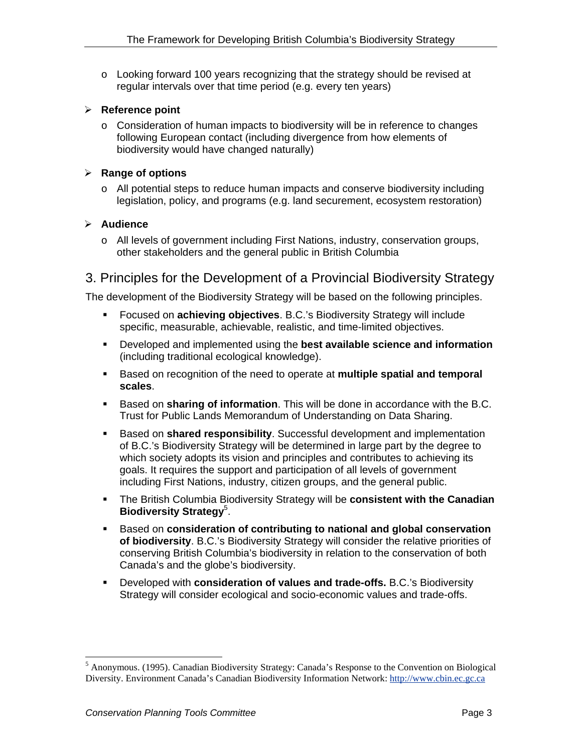$\circ$  Looking forward 100 years recognizing that the strategy should be revised at regular intervals over that time period (e.g. every ten years)

#### ¾ **Reference point**

o Consideration of human impacts to biodiversity will be in reference to changes following European contact (including divergence from how elements of biodiversity would have changed naturally)

#### ¾ **Range of options**

 $\circ$  All potential steps to reduce human impacts and conserve biodiversity including legislation, policy, and programs (e.g. land securement, ecosystem restoration)

#### ¾ **Audience**

o All levels of government including First Nations, industry, conservation groups, other stakeholders and the general public in British Columbia

### 3. Principles for the Development of a Provincial Biodiversity Strategy

The development of the Biodiversity Strategy will be based on the following principles.

- Focused on **achieving objectives**. B.C.'s Biodiversity Strategy will include specific, measurable, achievable, realistic, and time-limited objectives.
- Developed and implemented using the **best available science and information** (including traditional ecological knowledge).
- Based on recognition of the need to operate at **multiple spatial and temporal scales**.
- Based on **sharing of information**. This will be done in accordance with the B.C. Trust for Public Lands Memorandum of Understanding on Data Sharing.
- Based on **shared responsibility**. Successful development and implementation of B.C.'s Biodiversity Strategy will be determined in large part by the degree to which society adopts its vision and principles and contributes to achieving its goals. It requires the support and participation of all levels of government including First Nations, industry, citizen groups, and the general public.
- The British Columbia Biodiversity Strategy will be **consistent with the Canadian Biodiversity Strategy**<sup>5</sup> .
- Based on **consideration of contributing to national and global conservation of biodiversity**. B.C.'s Biodiversity Strategy will consider the relative priorities of conserving British Columbia's biodiversity in relation to the conservation of both Canada's and the globe's biodiversity.
- Developed with **consideration of values and trade-offs.** B.C.'s Biodiversity Strategy will consider ecological and socio-economic values and trade-offs.

 5 Anonymous. (1995). Canadian Biodiversity Strategy: Canada's Response to the Convention on Biological Diversity. Environment Canada's Canadian Biodiversity Information Network: http://www.cbin.ec.gc.ca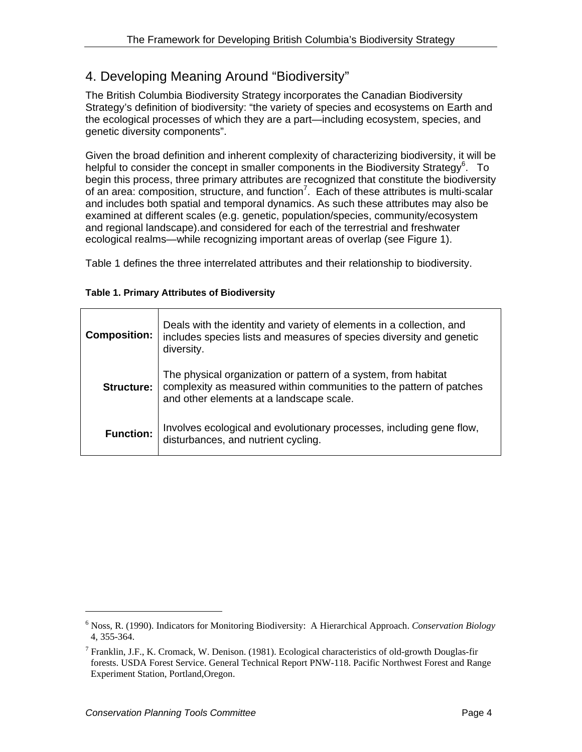### 4. Developing Meaning Around "Biodiversity"

The British Columbia Biodiversity Strategy incorporates the Canadian Biodiversity Strategy's definition of biodiversity: "the variety of species and ecosystems on Earth and the ecological processes of which they are a part—including ecosystem, species, and genetic diversity components".

Given the broad definition and inherent complexity of characterizing biodiversity, it will be helpful to consider the concept in smaller components in the Biodiversity Strategy<sup>6</sup>. To begin this process, three primary attributes are recognized that constitute the biodiversity of an area: composition, structure, and function<sup>7</sup>. Each of these attributes is multi-scalar and includes both spatial and temporal dynamics. As such these attributes may also be examined at different scales (e.g. genetic, population/species, community/ecosystem and regional landscape).and considered for each of the terrestrial and freshwater ecological realms—while recognizing important areas of overlap (see Figure 1).

Table 1 defines the three interrelated attributes and their relationship to biodiversity.

#### **Table 1. Primary Attributes of Biodiversity**

| <b>Composition:</b> | Deals with the identity and variety of elements in a collection, and<br>includes species lists and measures of species diversity and genetic<br>diversity.                        |
|---------------------|-----------------------------------------------------------------------------------------------------------------------------------------------------------------------------------|
| Structure:          | The physical organization or pattern of a system, from habitat<br>complexity as measured within communities to the pattern of patches<br>and other elements at a landscape scale. |
| <b>Function:</b>    | Involves ecological and evolutionary processes, including gene flow,<br>disturbances, and nutrient cycling.                                                                       |

<sup>6</sup> Noss, R. (1990). Indicators for Monitoring Biodiversity: A Hierarchical Approach. *Conservation Biology* 4, 355-364.

<sup>&</sup>lt;sup>7</sup> Franklin, J.F., K. Cromack, W. Denison. (1981). Ecological characteristics of old-growth Douglas-fir forests. USDA Forest Service. General Technical Report PNW-118. Pacific Northwest Forest and Range Experiment Station, Portland,Oregon.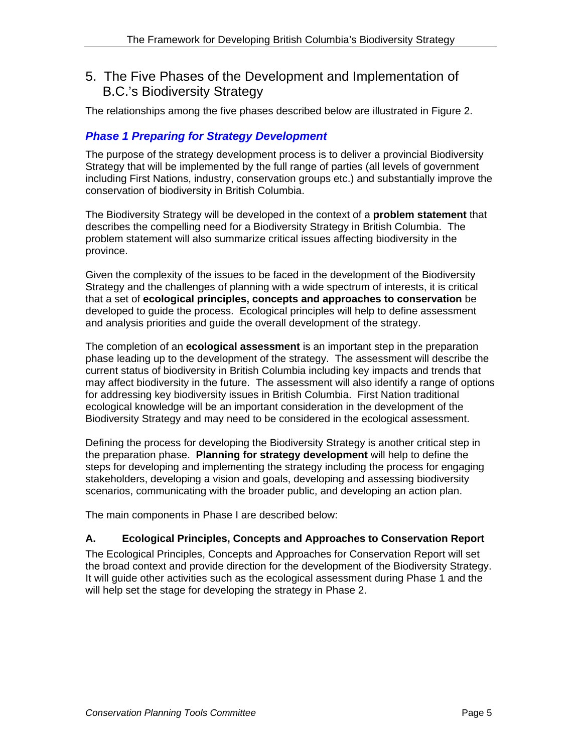### 5. The Five Phases of the Development and Implementation of B.C.'s Biodiversity Strategy

The relationships among the five phases described below are illustrated in Figure 2.

### *Phase 1 Preparing for Strategy Development*

The purpose of the strategy development process is to deliver a provincial Biodiversity Strategy that will be implemented by the full range of parties (all levels of government including First Nations, industry, conservation groups etc.) and substantially improve the conservation of biodiversity in British Columbia.

The Biodiversity Strategy will be developed in the context of a **problem statement** that describes the compelling need for a Biodiversity Strategy in British Columbia. The problem statement will also summarize critical issues affecting biodiversity in the province.

Given the complexity of the issues to be faced in the development of the Biodiversity Strategy and the challenges of planning with a wide spectrum of interests, it is critical that a set of **ecological principles, concepts and approaches to conservation** be developed to guide the process. Ecological principles will help to define assessment and analysis priorities and guide the overall development of the strategy.

The completion of an **ecological assessment** is an important step in the preparation phase leading up to the development of the strategy. The assessment will describe the current status of biodiversity in British Columbia including key impacts and trends that may affect biodiversity in the future. The assessment will also identify a range of options for addressing key biodiversity issues in British Columbia. First Nation traditional ecological knowledge will be an important consideration in the development of the Biodiversity Strategy and may need to be considered in the ecological assessment.

Defining the process for developing the Biodiversity Strategy is another critical step in the preparation phase. **Planning for strategy development** will help to define the steps for developing and implementing the strategy including the process for engaging stakeholders, developing a vision and goals, developing and assessing biodiversity scenarios, communicating with the broader public, and developing an action plan.

The main components in Phase I are described below:

### **A. Ecological Principles, Concepts and Approaches to Conservation Report**

The Ecological Principles, Concepts and Approaches for Conservation Report will set the broad context and provide direction for the development of the Biodiversity Strategy. It will guide other activities such as the ecological assessment during Phase 1 and the will help set the stage for developing the strategy in Phase 2.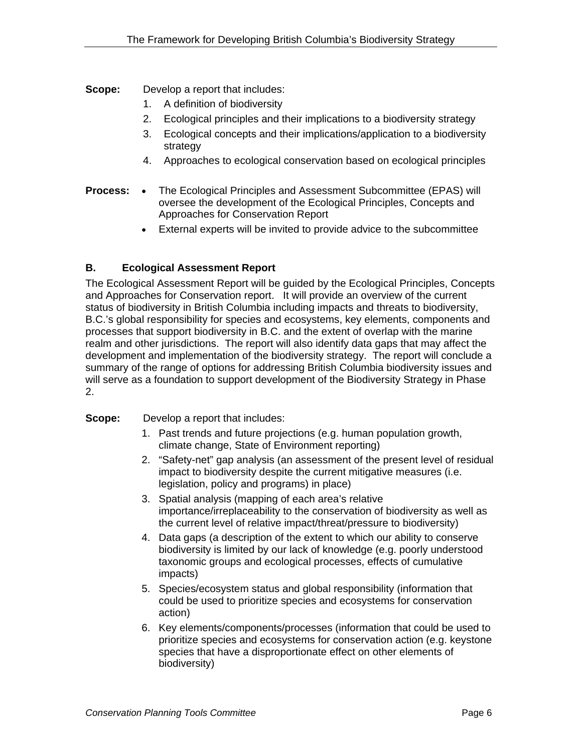**Scope:** Develop a report that includes:

- 1. A definition of biodiversity
- 2. Ecological principles and their implications to a biodiversity strategy
- 3. Ecological concepts and their implications/application to a biodiversity strategy
- 4. Approaches to ecological conservation based on ecological principles
- **Process:**  The Ecological Principles and Assessment Subcommittee (EPAS) will oversee the development of the Ecological Principles, Concepts and Approaches for Conservation Report
	- External experts will be invited to provide advice to the subcommittee

#### **B. Ecological Assessment Report**

The Ecological Assessment Report will be guided by the Ecological Principles, Concepts and Approaches for Conservation report. It will provide an overview of the current status of biodiversity in British Columbia including impacts and threats to biodiversity, B.C.'s global responsibility for species and ecosystems, key elements, components and processes that support biodiversity in B.C. and the extent of overlap with the marine realm and other jurisdictions. The report will also identify data gaps that may affect the development and implementation of the biodiversity strategy. The report will conclude a summary of the range of options for addressing British Columbia biodiversity issues and will serve as a foundation to support development of the Biodiversity Strategy in Phase 2.

**Scope:** Develop a report that includes:

- 1. Past trends and future projections (e.g. human population growth, climate change, State of Environment reporting)
- 2. "Safety-net" gap analysis (an assessment of the present level of residual impact to biodiversity despite the current mitigative measures (i.e. legislation, policy and programs) in place)
- 3. Spatial analysis (mapping of each area's relative importance/irreplaceability to the conservation of biodiversity as well as the current level of relative impact/threat/pressure to biodiversity)
- 4. Data gaps (a description of the extent to which our ability to conserve biodiversity is limited by our lack of knowledge (e.g. poorly understood taxonomic groups and ecological processes, effects of cumulative impacts)
- 5. Species/ecosystem status and global responsibility (information that could be used to prioritize species and ecosystems for conservation action)
- 6. Key elements/components/processes (information that could be used to prioritize species and ecosystems for conservation action (e.g. keystone species that have a disproportionate effect on other elements of biodiversity)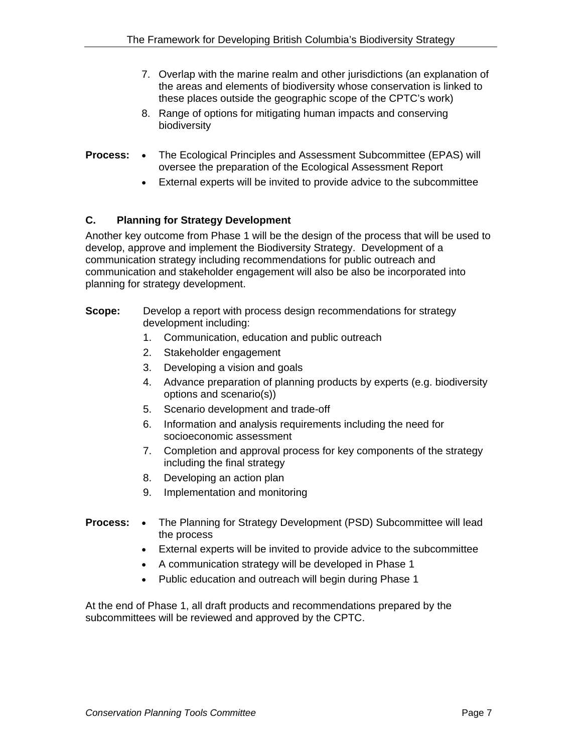- 7. Overlap with the marine realm and other jurisdictions (an explanation of the areas and elements of biodiversity whose conservation is linked to these places outside the geographic scope of the CPTC's work)
- 8. Range of options for mitigating human impacts and conserving biodiversity
- **Process:**  The Ecological Principles and Assessment Subcommittee (EPAS) will oversee the preparation of the Ecological Assessment Report
	- External experts will be invited to provide advice to the subcommittee

#### **C. Planning for Strategy Development**

Another key outcome from Phase 1 will be the design of the process that will be used to develop, approve and implement the Biodiversity Strategy. Development of a communication strategy including recommendations for public outreach and communication and stakeholder engagement will also be also be incorporated into planning for strategy development.

- **Scope:** Develop a report with process design recommendations for strategy development including:
	- 1. Communication, education and public outreach
	- 2. Stakeholder engagement
	- 3. Developing a vision and goals
	- 4. Advance preparation of planning products by experts (e.g. biodiversity options and scenario(s))
	- 5. Scenario development and trade-off
	- 6. Information and analysis requirements including the need for socioeconomic assessment
	- 7. Completion and approval process for key components of the strategy including the final strategy
	- 8. Developing an action plan
	- 9. Implementation and monitoring
- **Process:** The Planning for Strategy Development (PSD) Subcommittee will lead the process
	- External experts will be invited to provide advice to the subcommittee
	- A communication strategy will be developed in Phase 1
	- Public education and outreach will begin during Phase 1

At the end of Phase 1, all draft products and recommendations prepared by the subcommittees will be reviewed and approved by the CPTC.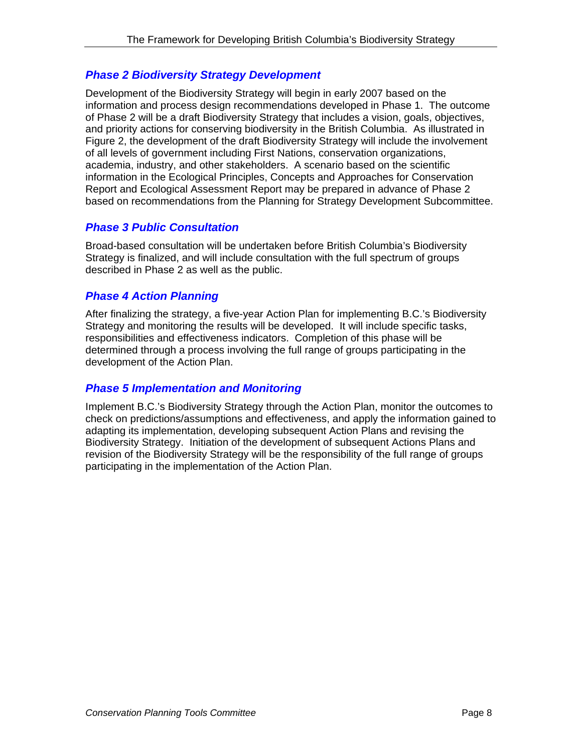### *Phase 2 Biodiversity Strategy Development*

Development of the Biodiversity Strategy will begin in early 2007 based on the information and process design recommendations developed in Phase 1. The outcome of Phase 2 will be a draft Biodiversity Strategy that includes a vision, goals, objectives, and priority actions for conserving biodiversity in the British Columbia. As illustrated in Figure 2, the development of the draft Biodiversity Strategy will include the involvement of all levels of government including First Nations, conservation organizations, academia, industry, and other stakeholders. A scenario based on the scientific information in the Ecological Principles, Concepts and Approaches for Conservation Report and Ecological Assessment Report may be prepared in advance of Phase 2 based on recommendations from the Planning for Strategy Development Subcommittee.

### *Phase 3 Public Consultation*

Broad-based consultation will be undertaken before British Columbia's Biodiversity Strategy is finalized, and will include consultation with the full spectrum of groups described in Phase 2 as well as the public.

### *Phase 4 Action Planning*

After finalizing the strategy, a five-year Action Plan for implementing B.C.'s Biodiversity Strategy and monitoring the results will be developed. It will include specific tasks, responsibilities and effectiveness indicators. Completion of this phase will be determined through a process involving the full range of groups participating in the development of the Action Plan.

### *Phase 5 Implementation and Monitoring*

Implement B.C.'s Biodiversity Strategy through the Action Plan, monitor the outcomes to check on predictions/assumptions and effectiveness, and apply the information gained to adapting its implementation, developing subsequent Action Plans and revising the Biodiversity Strategy. Initiation of the development of subsequent Actions Plans and revision of the Biodiversity Strategy will be the responsibility of the full range of groups participating in the implementation of the Action Plan.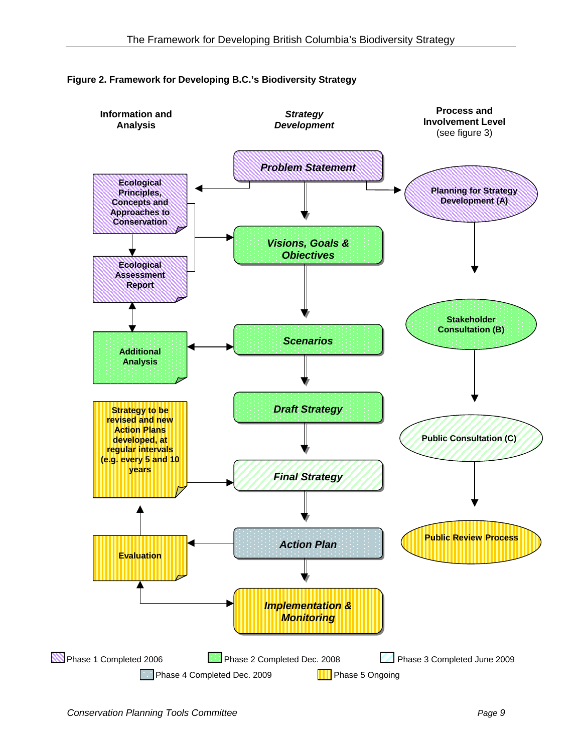